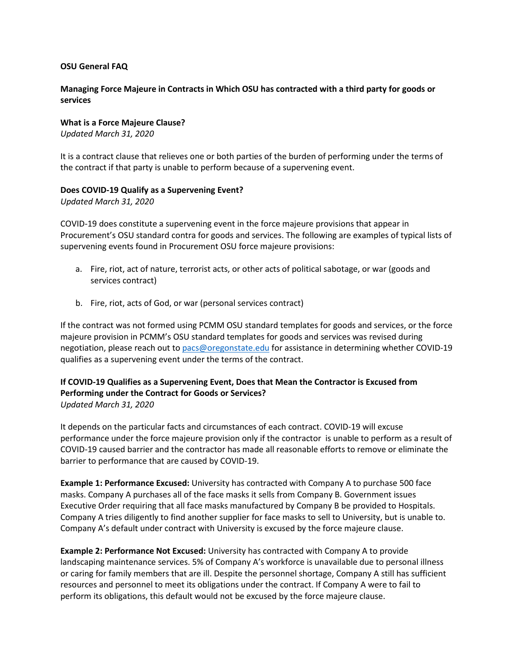#### **OSU General FAQ**

## **Managing Force Majeure in Contracts in Which OSU has contracted with a third party for goods or services**

**What is a Force Majeure Clause?** *Updated March 31, 2020*

It is a contract clause that relieves one or both parties of the burden of performing under the terms of the contract if that party is unable to perform because of a supervening event.

#### **Does COVID-19 Qualify as a Supervening Event?**

*Updated March 31, 2020*

COVID-19 does constitute a supervening event in the force majeure provisions that appear in Procurement's OSU standard contra for goods and services. The following are examples of typical lists of supervening events found in Procurement OSU force majeure provisions:

- a. Fire, riot, act of nature, terrorist acts, or other acts of political sabotage, or war (goods and services contract)
- b. Fire, riot, acts of God, or war (personal services contract)

If the contract was not formed using PCMM OSU standard templates for goods and services, or the force majeure provision in PCMM's OSU standard templates for goods and services was revised during negotiation, please reach out to [pacs@oregonstate.edu](mailto:pacs@oregonstate.edu) for assistance in determining whether COVID-19 qualifies as a supervening event under the terms of the contract.

## **If COVID-19 Qualifies as a Supervening Event, Does that Mean the Contractor is Excused from Performing under the Contract for Goods or Services?** *Updated March 31, 2020*

It depends on the particular facts and circumstances of each contract. COVID-19 will excuse performance under the force majeure provision only if the contractor is unable to perform as a result of COVID-19 caused barrier and the contractor has made all reasonable efforts to remove or eliminate the barrier to performance that are caused by COVID-19.

**Example 1: Performance Excused:** University has contracted with Company A to purchase 500 face masks. Company A purchases all of the face masks it sells from Company B. Government issues Executive Order requiring that all face masks manufactured by Company B be provided to Hospitals. Company A tries diligently to find another supplier for face masks to sell to University, but is unable to. Company A's default under contract with University is excused by the force majeure clause.

**Example 2: Performance Not Excused:** University has contracted with Company A to provide landscaping maintenance services. 5% of Company A's workforce is unavailable due to personal illness or caring for family members that are ill. Despite the personnel shortage, Company A still has sufficient resources and personnel to meet its obligations under the contract. If Company A were to fail to perform its obligations, this default would not be excused by the force majeure clause.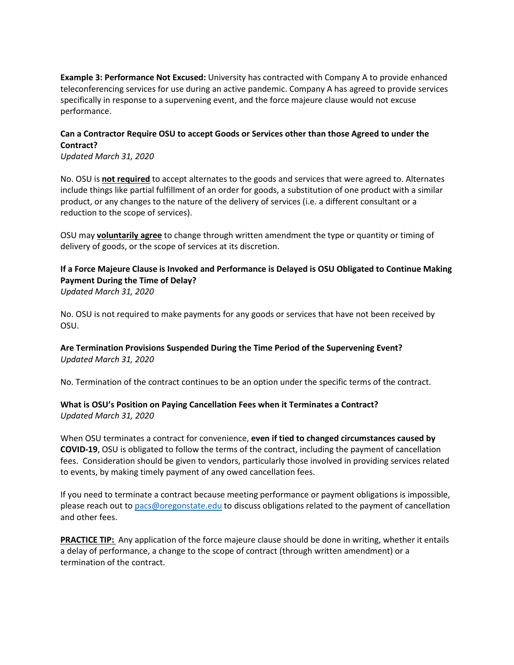**Example 3: Performance Not Excused:** University has contracted with Company A to provide enhanced teleconferencing services for use during an active pandemic. Company A has agreed to provide services specifically in response to a supervening event, and the force majeure clause would not excuse performance.

## **Can a Contractor Require OSU to accept Goods or Services other than those Agreed to under the Contract?**

*Updated March 31, 2020*

No. OSU is **not required** to accept alternates to the goods and services that were agreed to. Alternates include things like partial fulfillment of an order for goods, a substitution of one product with a similar product, or any changes to the nature of the delivery of services (i.e. a different consultant or a reduction to the scope of services).

OSU may **voluntarily agree** to change through written amendment the type or quantity or timing of delivery of goods, or the scope of services at its discretion.

## **If a Force Majeure Clause is Invoked and Performance is Delayed is OSU Obligated to Continue Making Payment During the Time of Delay?** *Updated March 31, 2020*

No. OSU is not required to make payments for any goods or services that have not been received by OSU.

## **Are Termination Provisions Suspended During the Time Period of the Supervening Event?** *Updated March 31, 2020*

No. Termination of the contract continues to be an option under the specific terms of the contract.

## **What is OSU's Position on Paying Cancellation Fees when it Terminates a Contract?** *Updated March 31, 2020*

When OSU terminates a contract for convenience, **even if tied to changed circumstances caused by COVID-19**, OSU is obligated to follow the terms of the contract, including the payment of cancellation fees. Consideration should be given to vendors, particularly those involved in providing services related to events, by making timely payment of any owed cancellation fees.

If you need to terminate a contract because meeting performance or payment obligations is impossible, please reach out t[o pacs@oregonstate.edu](mailto:pacs@oregonstate.edu) to discuss obligations related to the payment of cancellation and other fees.

**PRACTICE TIP:** Any application of the force majeure clause should be done in writing, whether it entails a delay of performance, a change to the scope of contract (through written amendment) or a termination of the contract.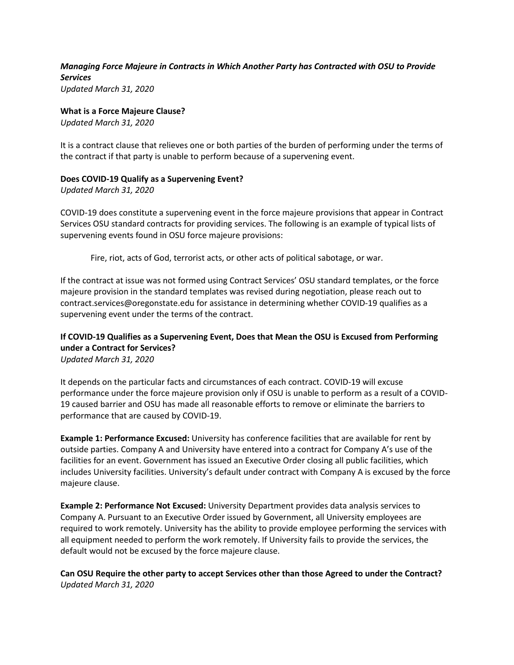## *Managing Force Majeure in Contracts in Which Another Party has Contracted with OSU to Provide Services Updated March 31, 2020*

**What is a Force Majeure Clause?**

*Updated March 31, 2020*

It is a contract clause that relieves one or both parties of the burden of performing under the terms of the contract if that party is unable to perform because of a supervening event.

## **Does COVID-19 Qualify as a Supervening Event?**

*Updated March 31, 2020*

COVID-19 does constitute a supervening event in the force majeure provisions that appear in Contract Services OSU standard contracts for providing services. The following is an example of typical lists of supervening events found in OSU force majeure provisions:

Fire, riot, acts of God, terrorist acts, or other acts of political sabotage, or war.

If the contract at issue was not formed using Contract Services' OSU standard templates, or the force majeure provision in the standard templates was revised during negotiation, please reach out to contract.services@oregonstate.edu for assistance in determining whether COVID-19 qualifies as a supervening event under the terms of the contract.

# **If COVID-19 Qualifies as a Supervening Event, Does that Mean the OSU is Excused from Performing under a Contract for Services?**

*Updated March 31, 2020*

It depends on the particular facts and circumstances of each contract. COVID-19 will excuse performance under the force majeure provision only if OSU is unable to perform as a result of a COVID-19 caused barrier and OSU has made all reasonable efforts to remove or eliminate the barriers to performance that are caused by COVID-19.

**Example 1: Performance Excused:** University has conference facilities that are available for rent by outside parties. Company A and University have entered into a contract for Company A's use of the facilities for an event. Government has issued an Executive Order closing all public facilities, which includes University facilities. University's default under contract with Company A is excused by the force majeure clause.

**Example 2: Performance Not Excused:** University Department provides data analysis services to Company A. Pursuant to an Executive Order issued by Government, all University employees are required to work remotely. University has the ability to provide employee performing the services with all equipment needed to perform the work remotely. If University fails to provide the services, the default would not be excused by the force majeure clause.

**Can OSU Require the other party to accept Services other than those Agreed to under the Contract?** *Updated March 31, 2020*